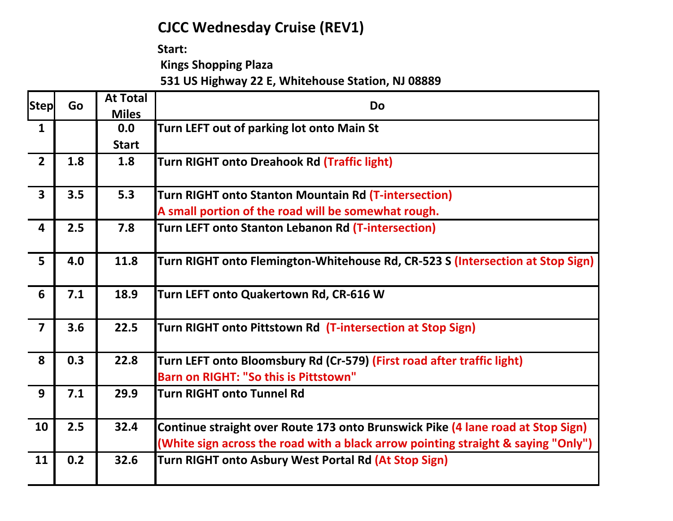## **CJCC Wednesday Cruise (REV1)**

Start:

 **Kings Shopping Plaza**

 **531 US Highway 22 E, Whitehouse Station, NJ 08889**

| <b>Step</b>             | Go  | <b>At Total</b> | <b>Do</b>                                                                         |
|-------------------------|-----|-----------------|-----------------------------------------------------------------------------------|
|                         |     | <b>Miles</b>    |                                                                                   |
| $\mathbf{1}$            |     | 0.0             | Turn LEFT out of parking lot onto Main St                                         |
|                         |     | <b>Start</b>    |                                                                                   |
| $\overline{2}$          | 1.8 | 1.8             | <b>Turn RIGHT onto Dreahook Rd (Traffic light)</b>                                |
| $\overline{\mathbf{3}}$ | 3.5 | 5.3             | <b>Turn RIGHT onto Stanton Mountain Rd (T-intersection)</b>                       |
|                         |     |                 | A small portion of the road will be somewhat rough.                               |
| $\overline{\mathbf{4}}$ | 2.5 | 7.8             | Turn LEFT onto Stanton Lebanon Rd (T-intersection)                                |
| 5                       | 4.0 | 11.8            | Turn RIGHT onto Flemington-Whitehouse Rd, CR-523 S (Intersection at Stop Sign)    |
| 6                       | 7.1 | 18.9            | Turn LEFT onto Quakertown Rd, CR-616 W                                            |
| $\overline{\mathbf{z}}$ | 3.6 | 22.5            | Turn RIGHT onto Pittstown Rd (T-intersection at Stop Sign)                        |
| 8                       | 0.3 | 22.8            | Turn LEFT onto Bloomsbury Rd (Cr-579) (First road after traffic light)            |
|                         |     |                 | Barn on RIGHT: "So this is Pittstown"                                             |
| 9                       | 7.1 | 29.9            | <b>Turn RIGHT onto Tunnel Rd</b>                                                  |
| 10                      | 2.5 | 32.4            | Continue straight over Route 173 onto Brunswick Pike (4 lane road at Stop Sign)   |
|                         |     |                 | (White sign across the road with a black arrow pointing straight & saying "Only") |
| 11                      | 0.2 | 32.6            | Turn RIGHT onto Asbury West Portal Rd (At Stop Sign)                              |